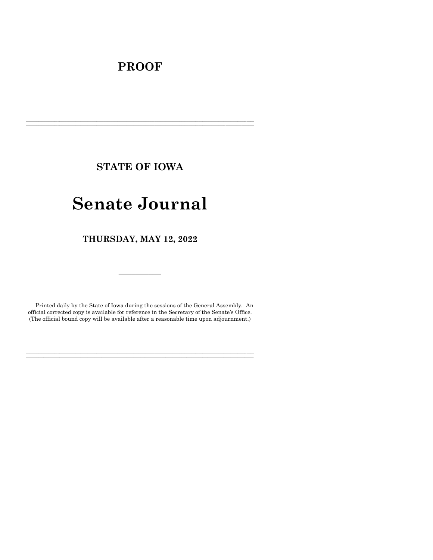# **PROOF**

**STATE OF IOWA**

**\_\_\_\_\_\_\_\_\_\_\_\_\_\_\_\_\_\_\_\_\_\_\_\_\_\_\_\_\_\_\_\_\_\_\_\_\_\_\_\_\_\_\_\_\_\_\_\_\_\_\_\_\_\_\_\_\_\_\_\_\_\_\_\_\_\_\_\_\_\_\_\_\_\_\_\_\_\_\_\_\_\_\_\_\_\_\_\_\_\_\_\_\_\_\_\_\_\_\_\_\_\_\_\_\_\_\_\_\_\_\_\_\_\_\_\_\_\_\_\_\_\_\_\_\_\_\_\_\_ \_\_\_\_\_\_\_\_\_\_\_\_\_\_\_\_\_\_\_\_\_\_\_\_\_\_\_\_\_\_\_\_\_\_\_\_\_\_\_\_\_\_\_\_\_\_\_\_\_\_\_\_\_\_\_\_\_\_\_\_\_\_\_\_\_\_\_\_\_\_\_\_\_\_\_\_\_\_\_\_\_\_\_\_\_\_\_\_\_\_\_\_\_\_\_\_\_\_\_\_\_\_\_\_\_\_\_\_\_\_\_\_\_\_\_\_\_\_\_\_\_\_\_\_\_\_\_\_\_**

# **Senate Journal**

**THURSDAY, MAY 12, 2022**

Printed daily by the State of Iowa during the sessions of the General Assembly. An official corrected copy is available for reference in the Secretary of the Senate's Office. (The official bound copy will be available after a reasonable time upon adjournment.)

**\_\_\_\_\_\_\_\_\_\_\_\_\_\_\_\_\_\_\_\_\_\_\_\_\_\_\_\_\_\_\_\_\_\_\_\_\_\_\_\_\_\_\_\_\_\_\_\_\_\_\_\_\_\_\_\_\_\_\_\_\_\_\_\_\_\_\_\_\_\_\_\_\_\_\_\_\_\_\_\_\_\_\_\_\_\_\_\_\_\_\_\_\_\_\_\_\_\_\_\_\_\_\_\_\_\_\_\_\_\_\_\_\_\_\_\_\_\_\_\_\_\_\_\_\_\_\_\_\_ \_\_\_\_\_\_\_\_\_\_\_\_\_\_\_\_\_\_\_\_\_\_\_\_\_\_\_\_\_\_\_\_\_\_\_\_\_\_\_\_\_\_\_\_\_\_\_\_\_\_\_\_\_\_\_\_\_\_\_\_\_\_\_\_\_\_\_\_\_\_\_\_\_\_\_\_\_\_\_\_\_\_\_\_\_\_\_\_\_\_\_\_\_\_\_\_\_\_\_\_\_\_\_\_\_\_\_\_\_\_\_\_\_\_\_\_\_\_\_\_\_\_\_\_\_\_\_\_\_**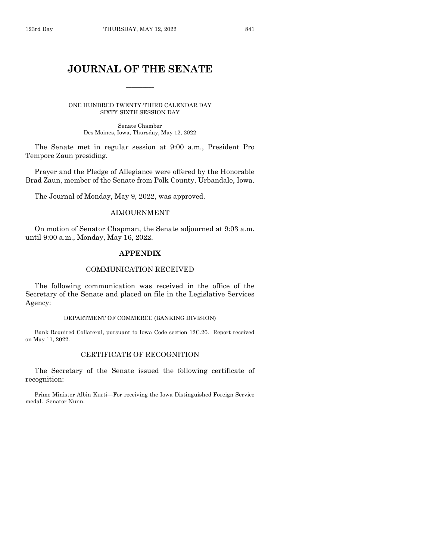# **JOURNAL OF THE SENATE**

 $\frac{1}{2}$ 

ONE HUNDRED TWENTY-THIRD CALENDAR DAY SIXTY-SIXTH SESSION DAY

> Senate Chamber Des Moines, Iowa, Thursday, May 12, 2022

The Senate met in regular session at 9:00 a.m., President Pro Tempore Zaun presiding.

Prayer and the Pledge of Allegiance were offered by the Honorable Brad Zaun, member of the Senate from Polk County, Urbandale, Iowa.

The Journal of Monday, May 9, 2022, was approved.

#### ADJOURNMENT

On motion of Senator Chapman, the Senate adjourned at 9:03 a.m. until 9:00 a.m., Monday, May 16, 2022.

#### **APPENDIX**

#### COMMUNICATION RECEIVED

The following communication was received in the office of the Secretary of the Senate and placed on file in the Legislative Services Agency:

#### DEPARTMENT OF COMMERCE (BANKING DIVISION)

Bank Required Collateral, pursuant to Iowa Code section 12C.20. Report received on May 11, 2022.

### CERTIFICATE OF RECOGNITION

The Secretary of the Senate issued the following certificate of recognition:

Prime Minister Albin Kurti—For receiving the Iowa Distinguished Foreign Service medal. Senator Nunn.